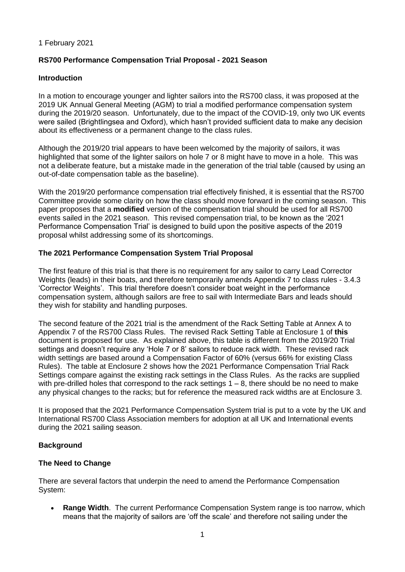#### 1 February 2021

#### **RS700 Performance Compensation Trial Proposal - 2021 Season**

#### **Introduction**

In a motion to encourage younger and lighter sailors into the RS700 class, it was proposed at the 2019 UK Annual General Meeting (AGM) to trial a modified performance compensation system during the 2019/20 season. Unfortunately, due to the impact of the COVID-19, only two UK events were sailed (Brightlingsea and Oxford), which hasn't provided sufficient data to make any decision about its effectiveness or a permanent change to the class rules.

Although the 2019/20 trial appears to have been welcomed by the majority of sailors, it was highlighted that some of the lighter sailors on hole 7 or 8 might have to move in a hole. This was not a deliberate feature, but a mistake made in the generation of the trial table (caused by using an out-of-date compensation table as the baseline).

With the 2019/20 performance compensation trial effectively finished, it is essential that the RS700 Committee provide some clarity on how the class should move forward in the coming season. This paper proposes that a **modified** version of the compensation trial should be used for all RS700 events sailed in the 2021 season. This revised compensation trial, to be known as the '2021 Performance Compensation Trial' is designed to build upon the positive aspects of the 2019 proposal whilst addressing some of its shortcomings.

#### **The 2021 Performance Compensation System Trial Proposal**

The first feature of this trial is that there is no requirement for any sailor to carry Lead Corrector Weights (leads) in their boats, and therefore temporarily amends Appendix 7 to class rules - 3.4.3 'Corrector Weights'. This trial therefore doesn't consider boat weight in the performance compensation system, although sailors are free to sail with Intermediate Bars and leads should they wish for stability and handling purposes.

The second feature of the 2021 trial is the amendment of the Rack Setting Table at Annex A to Appendix 7 of the RS700 Class Rules. The revised Rack Setting Table at Enclosure 1 of **this**  document is proposed for use. As explained above, this table is different from the 2019/20 Trial settings and doesn't require any 'Hole 7 or 8' sailors to reduce rack width. These revised rack width settings are based around a Compensation Factor of 60% (versus 66% for existing Class Rules). The table at Enclosure 2 shows how the 2021 Performance Compensation Trial Rack Settings compare against the existing rack settings in the Class Rules. As the racks are supplied with pre-drilled holes that correspond to the rack settings  $1 - 8$ , there should be no need to make any physical changes to the racks; but for reference the measured rack widths are at Enclosure 3.

It is proposed that the 2021 Performance Compensation System trial is put to a vote by the UK and International RS700 Class Association members for adoption at all UK and International events during the 2021 sailing season.

#### **Background**

#### **The Need to Change**

There are several factors that underpin the need to amend the Performance Compensation System:

• **Range Width**. The current Performance Compensation System range is too narrow, which means that the majority of sailors are 'off the scale' and therefore not sailing under the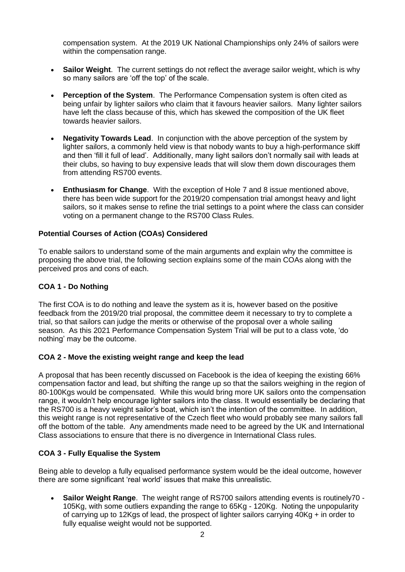compensation system. At the 2019 UK National Championships only 24% of sailors were within the compensation range.

- **Sailor Weight**. The current settings do not reflect the average sailor weight, which is why so many sailors are 'off the top' of the scale.
- **Perception of the System**. The Performance Compensation system is often cited as being unfair by lighter sailors who claim that it favours heavier sailors. Many lighter sailors have left the class because of this, which has skewed the composition of the UK fleet towards heavier sailors.
- **Negativity Towards Lead.** In conjunction with the above perception of the system by lighter sailors, a commonly held view is that nobody wants to buy a high-performance skiff and then 'fill it full of lead'. Additionally, many light sailors don't normally sail with leads at their clubs, so having to buy expensive leads that will slow them down discourages them from attending RS700 events.
- **Enthusiasm for Change**. With the exception of Hole 7 and 8 issue mentioned above, there has been wide support for the 2019/20 compensation trial amongst heavy and light sailors, so it makes sense to refine the trial settings to a point where the class can consider voting on a permanent change to the RS700 Class Rules.

#### **Potential Courses of Action (COAs) Considered**

To enable sailors to understand some of the main arguments and explain why the committee is proposing the above trial, the following section explains some of the main COAs along with the perceived pros and cons of each.

#### **COA 1 - Do Nothing**

The first COA is to do nothing and leave the system as it is, however based on the positive feedback from the 2019/20 trial proposal, the committee deem it necessary to try to complete a trial, so that sailors can judge the merits or otherwise of the proposal over a whole sailing season. As this 2021 Performance Compensation System Trial will be put to a class vote, 'do nothing' may be the outcome.

#### **COA 2 - Move the existing weight range and keep the lead**

A proposal that has been recently discussed on Facebook is the idea of keeping the existing 66% compensation factor and lead, but shifting the range up so that the sailors weighing in the region of 80-100Kgs would be compensated. While this would bring more UK sailors onto the compensation range, it wouldn't help encourage lighter sailors into the class. It would essentially be declaring that the RS700 is a heavy weight sailor's boat, which isn't the intention of the committee. In addition, this weight range is not representative of the Czech fleet who would probably see many sailors fall off the bottom of the table. Any amendments made need to be agreed by the UK and International Class associations to ensure that there is no divergence in International Class rules.

#### **COA 3 - Fully Equalise the System**

Being able to develop a fully equalised performance system would be the ideal outcome, however there are some significant 'real world' issues that make this unrealistic.

• **Sailor Weight Range**. The weight range of RS700 sailors attending events is routinely70 - 105Kg, with some outliers expanding the range to 65Kg - 120Kg. Noting the unpopularity of carrying up to 12Kgs of lead, the prospect of lighter sailors carrying 40Kg + in order to fully equalise weight would not be supported.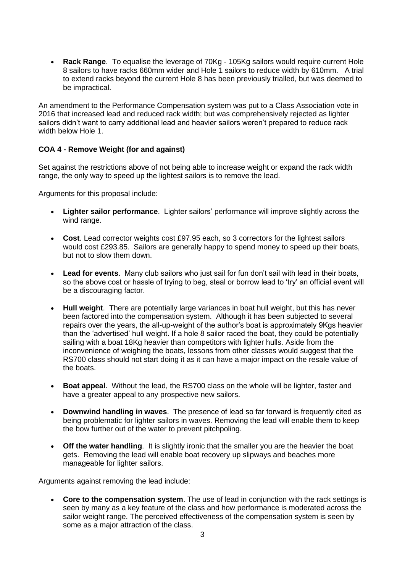• **Rack Range**. To equalise the leverage of 70Kg - 105Kg sailors would require current Hole 8 sailors to have racks 660mm wider and Hole 1 sailors to reduce width by 610mm. A trial to extend racks beyond the current Hole 8 has been previously trialled, but was deemed to be impractical.

An amendment to the Performance Compensation system was put to a Class Association vote in 2016 that increased lead and reduced rack width; but was comprehensively rejected as lighter sailors didn't want to carry additional lead and heavier sailors weren't prepared to reduce rack width below Hole 1.

#### **COA 4 - Remove Weight (for and against)**

Set against the restrictions above of not being able to increase weight or expand the rack width range, the only way to speed up the lightest sailors is to remove the lead.

Arguments for this proposal include:

- **Lighter sailor performance**. Lighter sailors' performance will improve slightly across the wind range.
- **Cost**. Lead corrector weights cost £97.95 each, so 3 correctors for the lightest sailors would cost £293.85. Sailors are generally happy to spend money to speed up their boats, but not to slow them down.
- **Lead for events**. Many club sailors who just sail for fun don't sail with lead in their boats, so the above cost or hassle of trying to beg, steal or borrow lead to 'try' an official event will be a discouraging factor.
- **Hull weight**. There are potentially large variances in boat hull weight, but this has never been factored into the compensation system. Although it has been subjected to several repairs over the years, the all-up-weight of the author's boat is approximately 9Kgs heavier than the 'advertised' hull weight. If a hole 8 sailor raced the boat, they could be potentially sailing with a boat 18Kg heavier than competitors with lighter hulls. Aside from the inconvenience of weighing the boats, lessons from other classes would suggest that the RS700 class should not start doing it as it can have a major impact on the resale value of the boats.
- **Boat appeal**. Without the lead, the RS700 class on the whole will be lighter, faster and have a greater appeal to any prospective new sailors.
- **Downwind handling in waves**. The presence of lead so far forward is frequently cited as being problematic for lighter sailors in waves. Removing the lead will enable them to keep the bow further out of the water to prevent pitchpoling.
- **Off the water handling**. It is slightly ironic that the smaller you are the heavier the boat gets. Removing the lead will enable boat recovery up slipways and beaches more manageable for lighter sailors.

Arguments against removing the lead include:

• **Core to the compensation system**. The use of lead in conjunction with the rack settings is seen by many as a key feature of the class and how performance is moderated across the sailor weight range. The perceived effectiveness of the compensation system is seen by some as a major attraction of the class.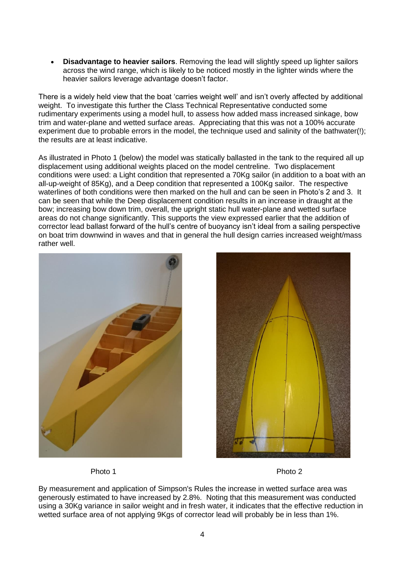• **Disadvantage to heavier sailors**. Removing the lead will slightly speed up lighter sailors across the wind range, which is likely to be noticed mostly in the lighter winds where the heavier sailors leverage advantage doesn't factor.

There is a widely held view that the boat 'carries weight well' and isn't overly affected by additional weight. To investigate this further the Class Technical Representative conducted some rudimentary experiments using a model hull, to assess how added mass increased sinkage, bow trim and water-plane and wetted surface areas. Appreciating that this was not a 100% accurate experiment due to probable errors in the model, the technique used and salinity of the bathwater(!); the results are at least indicative.

As illustrated in Photo 1 (below) the model was statically ballasted in the tank to the required all up displacement using additional weights placed on the model centreline. Two displacement conditions were used: a Light condition that represented a 70Kg sailor (in addition to a boat with an all-up-weight of 85Kg), and a Deep condition that represented a 100Kg sailor. The respective waterlines of both conditions were then marked on the hull and can be seen in Photo's 2 and 3. It can be seen that while the Deep displacement condition results in an increase in draught at the bow; increasing bow down trim, overall, the upright static hull water-plane and wetted surface areas do not change significantly. This supports the view expressed earlier that the addition of corrector lead ballast forward of the hull's centre of buoyancy isn't ideal from a sailing perspective on boat trim downwind in waves and that in general the hull design carries increased weight/mass rather well.





Photo 1 and 2 Photo 2 and 2 Photo 2

By measurement and application of Simpson's Rules the increase in wetted surface area was generously estimated to have increased by 2.8%. Noting that this measurement was conducted using a 30Kg variance in sailor weight and in fresh water, it indicates that the effective reduction in wetted surface area of not applying 9Kgs of corrector lead will probably be in less than 1%.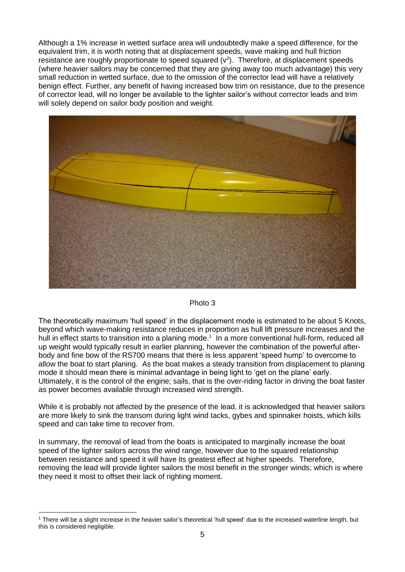Although a 1% increase in wetted surface area will undoubtedly make a speed difference, for the equivalent trim, it is worth noting that at displacement speeds, wave making and hull friction resistance are roughly proportionate to speed squared  $(v^2)$ . Therefore, at displacement speeds (where heavier sailors may be concerned that they are giving away too much advantage) this very small reduction in wetted surface, due to the omission of the corrector lead will have a relatively benign effect. Further, any benefit of having increased bow trim on resistance, due to the presence of corrector lead, will no longer be available to the lighter sailor's without corrector leads and trim will solely depend on sailor body position and weight.



#### Photo 3

The theoretically maximum 'hull speed' in the displacement mode is estimated to be about 5 Knots, beyond which wave-making resistance reduces in proportion as hull lift pressure increases and the hull in effect starts to transition into a planing mode.<sup>1</sup> In a more conventional hull-form, reduced all up weight would typically result in earlier planning, however the combination of the powerful afterbody and fine bow of the RS700 means that there is less apparent 'speed hump' to overcome to allow the boat to start planing. As the boat makes a steady transition from displacement to planing mode it should mean there is minimal advantage in being light to 'get on the plane' early. Ultimately, it is the control of the engine; sails, that is the over-riding factor in driving the boat faster as power becomes available through increased wind strength.

While it is probably not affected by the presence of the lead, it is acknowledged that heavier sailors are more likely to sink the transom during light wind tacks, gybes and spinnaker hoists, which kills speed and can take time to recover from.

In summary, the removal of lead from the boats is anticipated to marginally increase the boat speed of the lighter sailors across the wind range, however due to the squared relationship between resistance and speed it will have its greatest effect at higher speeds. Therefore, removing the lead will provide lighter sailors the most benefit in the stronger winds; which is where they need it most to offset their lack of righting moment.

<sup>1</sup> There will be a slight increase in the heavier sailor's theoretical 'hull speed' due to the increased waterline length, but this is considered negligible.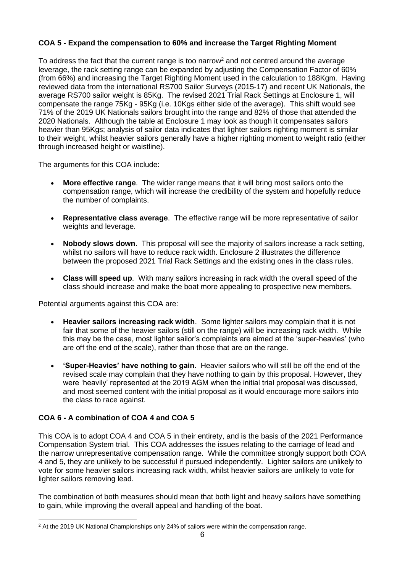#### **COA 5 - Expand the compensation to 60% and increase the Target Righting Moment**

To address the fact that the current range is too narrow<sup>2</sup> and not centred around the average leverage, the rack setting range can be expanded by adjusting the Compensation Factor of 60% (from 66%) and increasing the Target Righting Moment used in the calculation to 188Kgm. Having reviewed data from the international RS700 Sailor Surveys (2015-17) and recent UK Nationals, the average RS700 sailor weight is 85Kg. The revised 2021 Trial Rack Settings at Enclosure 1, will compensate the range 75Kg - 95Kg (i.e. 10Kgs either side of the average). This shift would see 71% of the 2019 UK Nationals sailors brought into the range and 82% of those that attended the 2020 Nationals. Although the table at Enclosure 1 may look as though it compensates sailors heavier than 95Kgs; analysis of sailor data indicates that lighter sailors righting moment is similar to their weight, whilst heavier sailors generally have a higher righting moment to weight ratio (either through increased height or waistline).

The arguments for this COA include:

- **More effective range**. The wider range means that it will bring most sailors onto the compensation range, which will increase the credibility of the system and hopefully reduce the number of complaints.
- **Representative class average**. The effective range will be more representative of sailor weights and leverage.
- **Nobody slows down**. This proposal will see the majority of sailors increase a rack setting, whilst no sailors will have to reduce rack width. Enclosure 2 illustrates the difference between the proposed 2021 Trial Rack Settings and the existing ones in the class rules.
- **Class will speed up**. With many sailors increasing in rack width the overall speed of the class should increase and make the boat more appealing to prospective new members.

Potential arguments against this COA are:

- **Heavier sailors increasing rack width**. Some lighter sailors may complain that it is not fair that some of the heavier sailors (still on the range) will be increasing rack width. While this may be the case, most lighter sailor's complaints are aimed at the 'super-heavies' (who are off the end of the scale), rather than those that are on the range.
- **'Super-Heavies' have nothing to gain**. Heavier sailors who will still be off the end of the revised scale may complain that they have nothing to gain by this proposal. However, they were 'heavily' represented at the 2019 AGM when the initial trial proposal was discussed, and most seemed content with the initial proposal as it would encourage more sailors into the class to race against.

#### **COA 6 - A combination of COA 4 and COA 5**

This COA is to adopt COA 4 and COA 5 in their entirety, and is the basis of the 2021 Performance Compensation System trial. This COA addresses the issues relating to the carriage of lead and the narrow unrepresentative compensation range. While the committee strongly support both COA 4 and 5, they are unlikely to be successful if pursued independently. Lighter sailors are unlikely to vote for some heavier sailors increasing rack width, whilst heavier sailors are unlikely to vote for lighter sailors removing lead.

The combination of both measures should mean that both light and heavy sailors have something to gain, while improving the overall appeal and handling of the boat.

<sup>&</sup>lt;sup>2</sup> At the 2019 UK National Championships only 24% of sailors were within the compensation range.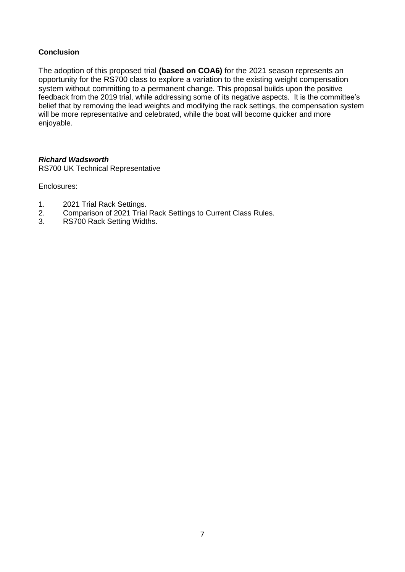#### **Conclusion**

The adoption of this proposed trial **(based on COA6)** for the 2021 season represents an opportunity for the RS700 class to explore a variation to the existing weight compensation system without committing to a permanent change. This proposal builds upon the positive feedback from the 2019 trial, while addressing some of its negative aspects. It is the committee's belief that by removing the lead weights and modifying the rack settings, the compensation system will be more representative and celebrated, while the boat will become quicker and more enjoyable.

#### *Richard Wadsworth*

RS700 UK Technical Representative

Enclosures:

- 1. 2021 Trial Rack Settings.
- 2. Comparison of 2021 Trial Rack Settings to Current Class Rules.
- 3. RS700 Rack Setting Widths.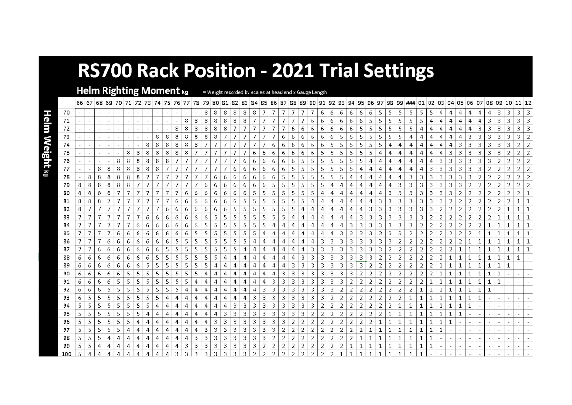# **RS700 Rack Position - 2021 Trial Settings**

Helm Righting Moment kg = Weight recorded by scales at head end x Gauge Length

Helm Weight kg

|     |    |   |   |   |   |   |   |   |   |    |   |   |   |   |    |   |   |   |   |   |   |               |    |    |   |               |   |               |                |               |   |   |   |   | 66 67 68 69 70 71 72 73 74 75 76 77 78 79 80 81 82 83 84 85 86 87 88 89 90 91 92 93 94 95 96 97 98 99 ### 01 02 03 04 05 06 07 08 09 10 11 12 |                |   |   |   |    |   |   |   |              |   |   |               |
|-----|----|---|---|---|---|---|---|---|---|----|---|---|---|---|----|---|---|---|---|---|---|---------------|----|----|---|---------------|---|---------------|----------------|---------------|---|---|---|---|-----------------------------------------------------------------------------------------------------------------------------------------------|----------------|---|---|---|----|---|---|---|--------------|---|---|---------------|
| 70  |    |   |   |   |   |   |   |   |   |    |   |   |   | 8 | 8  | 8 | 8 | 8 | 8 |   |   |               |    |    |   | 6             | 6 | 6             | 6              | 6             | 6 | 5 | 5 | 5 | 5                                                                                                                                             | 5              | 5 |   |   |    |   |   |   | 3            | 3 | 3 | 3             |
| 71  |    |   |   |   |   |   |   |   |   |    |   | 8 | 8 | 8 | 8  | 8 | 8 | 8 |   |   |   |               |    |    | 6 | 6             | 6 | 6             | 6              | 6             |   |   |   |   | 5                                                                                                                                             | 5              |   |   |   |    |   |   | З | З            | 3 | 3 | 3             |
| 72  |    |   |   |   |   |   |   |   |   |    | 8 | 8 | 8 | 8 | 8  | 8 |   |   |   |   |   |               | 6  | 6  | 6 | 6             | 6 | 6             | 6              | 5             |   |   | 5 | 5 | 5                                                                                                                                             | 4              | А |   |   |    |   | 3 | З | З            | З |   | 3             |
| 73  |    |   |   |   |   |   |   |   | 8 | 8  | 8 | 8 | 8 | 8 | 8  |   |   |   |   |   |   | 6             | 6  | 6  | 6 | 6             | 6 | 5             | 5              | 5             | 5 | 5 | 5 | 5 | 4                                                                                                                                             | 4              |   |   |   |    | 3 | 3 | 3 | 3            | 3 | 3 | 2             |
| 74  |    |   |   |   |   |   |   | 8 | 8 | 8  | 8 | 8 |   |   |    |   |   |   |   |   | 6 | 6             | 6. | 6  | 6 | 6             |   |               | 5              |               |   |   | 4 | 4 | 4                                                                                                                                             |                |   |   |   |    |   | 3 | З | З            |   |   |               |
| 75  |    |   |   |   |   | 8 | 8 | 8 | 8 | 8  | 8 | 8 |   |   |    |   |   |   | 6 | 6 | 6 | 6             | 6  | 6  | 6 | 5             |   | 5             | 5              |               |   |   |   | 4 | 4                                                                                                                                             | 4              |   |   |   | 3. | 3 | З | З | З            |   |   |               |
| 76  |    |   |   |   | 8 | 8 | 8 | 8 | 8 | 8  |   |   |   |   |    |   |   | 6 | 6 | 6 | 6 | 6             | 6  | 5  | 5 | 5             | 5 | 5             | 5              | 5             |   |   | 4 | 4 | 4                                                                                                                                             | 4              |   | 3 | 3 | 3  | 3 | 3 | 3 | 2            | 2 |   | 2             |
| 77  |    |   | 8 | 8 | 8 | 8 | 8 | 8 | 8 |    |   |   |   |   |    |   | 6 | 6 | 6 | 6 | 6 | 6             | 5  |    |   |               |   |               |                |               |   |   | 4 | 4 | 4                                                                                                                                             |                |   |   |   |    | 3 | 3 | 2 | 2            | 2 | 2 |               |
| 78  |    | 8 | 8 | 8 | 8 | 8 | 8 |   |   |    |   |   |   |   | 6  |   | 6 | 6 | 6 | 6 | 6 | 5.            | 5  |    |   |               |   |               | Δ              |               |   |   |   |   | 3                                                                                                                                             | 3              | 3 |   |   | 3  | 3 |   |   |              |   |   | $\mathcal{P}$ |
| 79  | 8  | 8 | 8 | 8 |   | 8 |   |   |   |    |   |   |   |   | 6  | 6 | 6 | 6 | 6 | 6 | 5 | 5             | 5  |    | 5 | 5             |   |               | Δ              |               |   |   |   | 3 | 3                                                                                                                                             | 3              | 3 |   |   | 3  | 2 | 2 | 2 | 2            | 2 |   | 2             |
| 80  | 8  | 8 | 8 |   |   |   |   |   |   |    |   | 6 | 6 |   | 6. | 6 | 6 | 6 | 5 |   | 5 | 5             | 5  |    |   |               |   |               | Δ              |               |   |   |   | 3 | 3                                                                                                                                             | 3              |   |   |   |    |   | 2 | 2 | 2            | 2 | 2 |               |
| 81  | 8  | 8 |   |   |   |   |   |   |   |    |   |   | 6 | ь | 6  | 6 | 6 | 5 | 5 |   | 5 | 5.            | 5  |    |   |               |   |               |                |               |   |   | З | 3 | 3                                                                                                                                             | 3              | 3 |   |   |    |   | 2 |   |              |   |   |               |
| 82  | 8  |   |   |   |   |   |   |   |   | 6  | 6 | 6 | 6 |   |    | 6 | 5 | 5 | 5 | 5 | 5 | 5             | 5  |    |   |               |   |               | Δ              | А             | 3 | 3 | 3 | 3 | 3                                                                                                                                             | 3              | 3 |   | 2 | 2  | 2 | 2 | 2 | 2            |   |   |               |
| 83  |    |   |   |   |   |   |   | 6 | 6 | -6 | 6 | 6 | 6 | O |    | 5 | 5 | 5 | 5 | 5 | 5 | 5             | 4  |    |   |               |   |               | 4              | 3             | 3 | 3 | 3 | 3 | 3                                                                                                                                             | 3              |   |   |   | 2  | 2 | 2 | 2 | 1            |   |   |               |
| 84  |    |   |   |   |   |   | 6 | 6 | 6 | 6  |   |   |   |   |    |   |   | 5 | 5 | 5 |   |               |    |    |   |               |   |               | 3              | 3             | 3 |   | З | З | З                                                                                                                                             |                |   |   |   | 2  | 2 | 2 |   |              |   |   |               |
| 85  |    |   |   |   | 6 | 6 | 6 | 6 | 6 | 6  |   |   |   |   |    | 5 | 5 | 5 | 5 |   | Д |               | Δ  | 4  | А | А             |   | 3             | 3              | 3             | 3 | 3 | 3 | 3 | 2                                                                                                                                             | 2              | 2 |   | 2 | 2  | 2 | 1 |   |              |   |   |               |
| 86  |    |   |   |   |   | 6 | 6 | 6 | 6 | 6  |   |   |   |   |    | 5 | 5 | 5 | 4 |   |   |               |    |    |   | 3             |   |               |                |               | 3 | 3 | 3 | 2 | 2                                                                                                                                             | 2              |   |   |   |    |   |   |   |              |   |   |               |
| 87  |    |   | 6 | 6 | 6 | 6 | 6 | 6 | 6 | 5  |   |   |   |   |    | 5 |   |   |   |   |   |               | 4  | 4  | 3 | 3             | 3 | 3             | 3              | 3             | 3 | 3 |   | 2 | 2                                                                                                                                             | 2              | 2 |   |   |    |   |   |   |              |   |   |               |
| 88  | 6. | 6 | ь | 6 | 6 | 6 | 6 | 6 | 5 | 5  |   |   |   |   |    |   |   |   | А |   | А |               | 4  | 3  | 3 | 3             | 3 | 3             | 3              | 3             | 3 |   | 2 | 2 | 2                                                                                                                                             | 2              | 2 |   |   |    |   |   |   |              |   |   |               |
| 89  |    | 6 | 6 | 6 |   | 6 | 6 |   |   |    |   |   |   |   |    |   | 4 |   | 4 |   | 4 |               | 3  | 3  | 3 | 3             |   | 3             | 3              | 3             | 2 | 2 | 2 | 2 | 2                                                                                                                                             | 2              |   |   |   |    |   |   |   | 1            |   |   |               |
| 90  | 6  | 6 | 6 |   |   | 5 | 5 | 5 |   |    |   |   |   |   |    |   |   |   |   |   |   | з             | З  | 3  | 3 | 3             | 3 | З             | З              |               |   |   |   | 2 | 2                                                                                                                                             |                |   |   |   |    |   |   |   |              |   |   |               |
| 91  | 6  | 6 | ь |   |   | 5 | 5 | 5 | 5 | 5  |   |   |   |   |    |   |   |   | А |   | 3 | 3             | 3  | 3  | 3 | 3             | 3 | 3             | $\overline{2}$ | 2             | 2 | フ | 2 | 2 | 2                                                                                                                                             | $\overline{2}$ |   |   |   |    |   |   | 1 | $\mathbf{1}$ |   |   |               |
| 92  | 6. | 6 |   |   |   |   |   |   |   |    |   |   |   |   |    |   | 4 | 4 | 4 |   | 3 | З             | 3  | 3  | 3 | 3             | 3 |               | 2              | 2             | 2 |   | 2 | 2 | 2                                                                                                                                             |                |   |   |   |    |   |   |   |              |   |   |               |
| 93  | 6  | 5 | 5 | 5 | 5 | 5 | 5 | 5 | 5 |    |   |   |   |   |    | 4 |   | А | З | 3 | З | З             | З  | 3  | 3 | 3             |   |               | 2              | 2             | 2 | 2 | 2 | 2 | 1                                                                                                                                             | 1              |   |   |   |    |   | 1 |   |              |   |   |               |
| 94  |    | 5 |   |   |   | 5 |   | 5 |   |    |   |   |   |   |    |   | 3 | 3 | 3 | 3 | 3 | 3             | 3  | 3  | 3 | 2             |   |               | 2              | 2             | 2 |   |   |   | 1                                                                                                                                             |                |   |   |   |    |   |   |   |              |   |   |               |
| 95  |    | 5 |   |   |   |   |   | 4 |   |    |   |   |   |   |    | 3 | 3 | 3 | 3 | 3 | 3 | з             | З  | 3  | 2 | 2             |   | 2             | $\overline{2}$ | 2             | 2 | 2 |   |   |                                                                                                                                               |                |   |   |   | 1  |   |   |   |              |   |   |               |
| 96  | 5  | 5 |   |   | 5 | 5 |   | 4 |   |    |   |   |   |   |    | 3 | З | 3 | З | 3 | З | З             |    |    |   | 2             |   |               |                |               |   |   |   |   |                                                                                                                                               |                |   |   |   |    |   |   |   |              |   |   |               |
| 97  |    | 5 |   |   |   |   |   | А |   |    |   |   |   |   | 3  | 3 | 3 | 3 | 3 | 3 | 3 | 2             | 2  | 2  | 2 | 2             | 2 | $\mathcal{P}$ | 2              | $\mathcal{P}$ |   |   |   |   | 1                                                                                                                                             | 1              |   |   |   |    |   |   |   |              |   |   |               |
| 98  |    | 5 |   |   |   |   |   |   |   | 4  |   |   |   |   |    | 3 | 3 | 3 | 3 | 3 |   |               |    |    | 2 | 2             | 2 | 2             | 2              |               |   |   |   |   |                                                                                                                                               |                |   |   |   |    |   |   |   |              |   |   |               |
| 99  |    |   |   |   |   |   |   |   |   |    |   |   |   |   |    | 3 |   | 3 |   |   |   |               |    |    |   |               |   |               |                |               |   |   |   |   |                                                                                                                                               |                |   |   |   |    |   |   |   |              |   |   |               |
| 100 |    | А |   |   |   |   |   |   |   |    |   |   |   |   |    |   |   |   | ำ |   |   | $\mathcal{L}$ | C. | C. | ำ | $\mathcal{L}$ |   |               |                |               |   |   |   |   |                                                                                                                                               |                |   |   |   |    |   |   |   |              |   |   |               |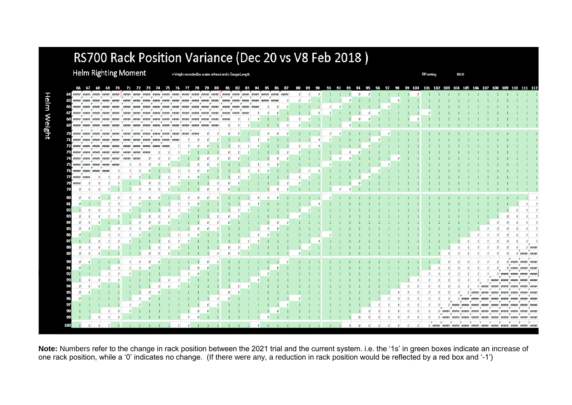## RS700 Rack Position Variance (Dec 20 vs V8 Feb 2018)

Helm Righting Moment

= Weight recorded by scales at head end x Gauge Length

**RM** setting

188.00

|                               | 66 67 68 69 70 71 72 73 74 75 76 77 78 79 80 81 82 83                                                                                                                                                                              |              |              |                                                                                                                       |                      |                                        |          |                                                                                                                        |  |  |     |   |     |     | 84 | 85 | 86 | 87 | 88 | 89 | 90 | 91 92 93 94 95 96 97 98 99 100 101 102 103 104 105 106 107 108 109 110 111 112 |  |  |  |  |  |                |            |     |                                                                                                  |          |  |  |
|-------------------------------|------------------------------------------------------------------------------------------------------------------------------------------------------------------------------------------------------------------------------------|--------------|--------------|-----------------------------------------------------------------------------------------------------------------------|----------------------|----------------------------------------|----------|------------------------------------------------------------------------------------------------------------------------|--|--|-----|---|-----|-----|----|----|----|----|----|----|----|--------------------------------------------------------------------------------|--|--|--|--|--|----------------|------------|-----|--------------------------------------------------------------------------------------------------|----------|--|--|
|                               | <b>CCC</b> waxaa waxaa waxaa waxaa waxaa waxaa waxaa waxaa waxaa waxaa waxaa waxaa waxaa waxaa waxaa waxaa waxaa waxaa waxaa waxaa waxaa waxaa waxaa waxaa waxaa waxaa waxaa waxaa waxaa waxaa waxaa waxaa waxaa waxaa waxaa waxaa |              |              |                                                                                                                       |                      |                                        |          |                                                                                                                        |  |  |     |   |     |     |    |    |    |    |    |    |    |                                                                                |  |  |  |  |  |                |            |     |                                                                                                  |          |  |  |
|                               |                                                                                                                                                                                                                                    |              |              |                                                                                                                       |                      |                                        |          | .                                                                                                                      |  |  |     |   |     |     | .  |    |    |    |    |    |    |                                                                                |  |  |  |  |  |                |            |     |                                                                                                  |          |  |  |
|                               | 66 states states antibal states                                                                                                                                                                                                    |              |              | *****                                                                                                                 |                      |                                        |          | .<br>contract statement statement statement statement statement statement statement statement statement statement<br>. |  |  |     |   | - 7 | - 7 |    |    |    |    |    |    |    |                                                                                |  |  |  |  |  |                |            |     |                                                                                                  |          |  |  |
|                               | 57 Weiner science stretch science science science science science science science science science science science science science science science science science                                                                  |              |              |                                                                                                                       |                      |                                        |          |                                                                                                                        |  |  |     |   |     |     |    |    |    |    |    |    |    |                                                                                |  |  |  |  |  |                |            |     |                                                                                                  |          |  |  |
|                               | 65 steered states steered steered steered steered steered steered steered steered steered steered steered steered steered steered                                                                                                  |              |              |                                                                                                                       |                      |                                        |          | .                                                                                                                      |  |  |     |   |     |     |    |    |    |    |    |    |    |                                                                                |  |  |  |  |  |                |            |     |                                                                                                  |          |  |  |
|                               | 69 sented states sented sented states                                                                                                                                                                                              | $\mathbf{r}$ | $\sim$       |                                                                                                                       |                      |                                        |          | .<br>andere sterets sterien sciente enterts sterets sterien sterien enterts sterien                                    |  |  | - - | - |     |     |    |    |    |    |    |    |    |                                                                                |  |  |  |  |  |                |            |     |                                                                                                  |          |  |  |
|                               | animal internal company and the parameter and the ELS                                                                                                                                                                              |              |              |                                                                                                                       |                      |                                        |          | stateful sincered attended stateful statefuld                                                                          |  |  |     |   |     |     |    |    |    |    |    |    |    |                                                                                |  |  |  |  |  |                |            |     |                                                                                                  |          |  |  |
|                               | <b>741 anno i conor i conor i conor i anno i conor i anno i anno i conor i conor i conor</b>                                                                                                                                       |              |              |                                                                                                                       |                      |                                        |          | .                                                                                                                      |  |  |     |   |     |     |    |    |    |    |    |    |    |                                                                                |  |  |  |  |  |                |            |     |                                                                                                  |          |  |  |
|                               | <b>Santani university under the Santani</b>                                                                                                                                                                                        |              |              | <b>The Contract of the Contract of the Contract of the Contract of the Contract of the Contract of the Contract o</b> |                      | $\sim$<br>sistende: stendard steinderd |          |                                                                                                                        |  |  |     |   |     |     |    |    |    |    |    |    |    |                                                                                |  |  |  |  |  |                |            |     |                                                                                                  |          |  |  |
|                               | security indicate income income ESA                                                                                                                                                                                                |              |              | r e c                                                                                                                 | statement seatstated |                                        | standard |                                                                                                                        |  |  |     |   |     |     |    |    |    |    |    |    |    |                                                                                |  |  |  |  |  |                |            |     |                                                                                                  |          |  |  |
|                               | 22 milioni philadelphi indulute studente attribute studente 23.                                                                                                                                                                    |              | $\mathbf{r}$ | $\rightarrow$                                                                                                         | - -                  |                                        |          |                                                                                                                        |  |  |     |   |     |     |    |    |    |    |    |    |    |                                                                                |  |  |  |  |  |                |            |     |                                                                                                  |          |  |  |
|                               | -<br>15 showed and a company of the product                                                                                                                                                                                        | --           |              |                                                                                                                       |                      |                                        |          |                                                                                                                        |  |  |     |   |     |     |    |    |    |    |    |    |    |                                                                                |  |  |  |  |  |                |            |     |                                                                                                  |          |  |  |
|                               | 76 sentent stretch intental                                                                                                                                                                                                        |              |              |                                                                                                                       |                      |                                        |          |                                                                                                                        |  |  |     |   |     |     |    |    |    |    |    |    |    |                                                                                |  |  |  |  |  |                |            |     |                                                                                                  |          |  |  |
| <b>TA</b> Wildfield Wildfield |                                                                                                                                                                                                                                    |              |              |                                                                                                                       |                      |                                        |          |                                                                                                                        |  |  |     |   |     |     |    |    |    |    |    |    |    |                                                                                |  |  |  |  |  |                |            |     |                                                                                                  |          |  |  |
| $73$ within                   |                                                                                                                                                                                                                                    |              |              |                                                                                                                       |                      |                                        |          |                                                                                                                        |  |  |     |   |     |     |    |    |    |    |    |    |    |                                                                                |  |  |  |  |  |                |            |     |                                                                                                  |          |  |  |
| 79                            |                                                                                                                                                                                                                                    |              |              |                                                                                                                       |                      |                                        |          |                                                                                                                        |  |  |     |   |     |     |    |    |    |    |    |    |    |                                                                                |  |  |  |  |  |                |            |     |                                                                                                  |          |  |  |
| 80                            |                                                                                                                                                                                                                                    |              |              |                                                                                                                       |                      |                                        |          |                                                                                                                        |  |  |     |   |     |     |    |    |    |    |    |    |    |                                                                                |  |  |  |  |  |                |            |     |                                                                                                  |          |  |  |
| 81                            |                                                                                                                                                                                                                                    |              |              |                                                                                                                       |                      |                                        |          |                                                                                                                        |  |  |     |   |     |     |    |    |    |    |    |    |    |                                                                                |  |  |  |  |  |                |            |     |                                                                                                  |          |  |  |
| 82                            |                                                                                                                                                                                                                                    |              |              |                                                                                                                       |                      |                                        |          |                                                                                                                        |  |  |     |   |     |     |    |    |    |    |    |    |    |                                                                                |  |  |  |  |  |                |            |     |                                                                                                  |          |  |  |
| 83                            |                                                                                                                                                                                                                                    |              |              |                                                                                                                       |                      |                                        |          |                                                                                                                        |  |  |     |   |     |     |    |    |    |    |    |    |    |                                                                                |  |  |  |  |  |                |            |     |                                                                                                  |          |  |  |
|                               |                                                                                                                                                                                                                                    |              |              |                                                                                                                       |                      |                                        |          |                                                                                                                        |  |  |     |   |     |     |    |    |    |    |    |    |    |                                                                                |  |  |  |  |  |                |            |     |                                                                                                  |          |  |  |
|                               |                                                                                                                                                                                                                                    |              |              |                                                                                                                       |                      |                                        |          |                                                                                                                        |  |  |     |   |     |     |    |    |    |    |    |    |    |                                                                                |  |  |  |  |  |                |            |     |                                                                                                  |          |  |  |
|                               |                                                                                                                                                                                                                                    |              |              |                                                                                                                       |                      |                                        |          |                                                                                                                        |  |  |     |   |     |     |    |    |    |    |    |    |    |                                                                                |  |  |  |  |  |                |            |     |                                                                                                  |          |  |  |
|                               |                                                                                                                                                                                                                                    |              |              |                                                                                                                       |                      |                                        |          |                                                                                                                        |  |  |     |   |     |     |    |    |    |    |    |    |    |                                                                                |  |  |  |  |  |                |            |     |                                                                                                  |          |  |  |
| 88                            |                                                                                                                                                                                                                                    |              |              |                                                                                                                       |                      |                                        |          |                                                                                                                        |  |  |     |   |     |     |    |    |    |    |    |    |    |                                                                                |  |  |  |  |  |                |            |     |                                                                                                  |          |  |  |
| 89                            |                                                                                                                                                                                                                                    |              |              |                                                                                                                       |                      |                                        |          |                                                                                                                        |  |  |     |   |     |     |    |    |    |    |    |    |    |                                                                                |  |  |  |  |  |                |            |     |                                                                                                  |          |  |  |
|                               |                                                                                                                                                                                                                                    |              |              |                                                                                                                       |                      |                                        |          |                                                                                                                        |  |  |     |   |     |     |    |    |    |    |    |    |    |                                                                                |  |  |  |  |  |                |            |     |                                                                                                  |          |  |  |
| 91                            |                                                                                                                                                                                                                                    |              |              |                                                                                                                       |                      |                                        |          |                                                                                                                        |  |  |     |   |     |     |    |    |    |    |    |    |    |                                                                                |  |  |  |  |  |                |            |     |                                                                                                  |          |  |  |
| 92                            |                                                                                                                                                                                                                                    |              |              |                                                                                                                       |                      |                                        |          |                                                                                                                        |  |  |     |   |     |     |    |    |    |    |    |    |    |                                                                                |  |  |  |  |  |                |            |     |                                                                                                  |          |  |  |
|                               |                                                                                                                                                                                                                                    |              |              |                                                                                                                       |                      |                                        |          |                                                                                                                        |  |  |     |   |     |     |    |    |    |    |    |    |    |                                                                                |  |  |  |  |  |                |            |     |                                                                                                  |          |  |  |
|                               |                                                                                                                                                                                                                                    |              |              |                                                                                                                       |                      |                                        |          |                                                                                                                        |  |  |     |   |     |     |    |    |    |    |    |    |    |                                                                                |  |  |  |  |  |                |            |     | (i alteratural segundarus professione professione) il                                            |          |  |  |
|                               |                                                                                                                                                                                                                                    |              |              |                                                                                                                       |                      |                                        |          |                                                                                                                        |  |  |     |   |     |     |    |    |    |    |    |    |    |                                                                                |  |  |  |  |  |                |            |     | O statement statement resoluted                                                                  | traitmit |  |  |
|                               |                                                                                                                                                                                                                                    |              |              |                                                                                                                       |                      |                                        |          |                                                                                                                        |  |  |     |   |     |     |    |    |    |    |    |    |    |                                                                                |  |  |  |  |  |                |            | --- | <b><i><u>Standard</u></i></b>                                                                    |          |  |  |
|                               |                                                                                                                                                                                                                                    |              |              |                                                                                                                       |                      |                                        |          |                                                                                                                        |  |  |     |   |     |     |    |    |    |    |    |    |    |                                                                                |  |  |  |  |  | (1) staintered | shirt-hist |     | sintente: sintente: stamped                                                                      | ***      |  |  |
|                               |                                                                                                                                                                                                                                    |              |              |                                                                                                                       |                      |                                        |          |                                                                                                                        |  |  |     |   |     |     |    |    |    |    |    |    |    |                                                                                |  |  |  |  |  |                |            |     | .<br>O statuted seconds adopted streamed statuted statuted statuted statuted statuted            |          |  |  |
|                               |                                                                                                                                                                                                                                    |              |              |                                                                                                                       |                      |                                        |          |                                                                                                                        |  |  |     |   |     |     |    |    |    |    |    |    |    |                                                                                |  |  |  |  |  |                |            |     | .<br>o (mone (mone (mone (mone (mone (mone (mone (mone (mon                                      |          |  |  |
| 100                           |                                                                                                                                                                                                                                    |              |              |                                                                                                                       |                      |                                        |          |                                                                                                                        |  |  |     |   |     |     |    |    |    |    |    |    |    |                                                                                |  |  |  |  |  |                |            |     |                                                                                                  |          |  |  |
|                               | $\theta$                                                                                                                                                                                                                           |              |              |                                                                                                                       |                      |                                        |          |                                                                                                                        |  |  |     |   |     |     |    |    |    |    |    |    |    |                                                                                |  |  |  |  |  |                |            |     | 0 shrintar shekarar shintarar shintarar shrintari shekarar shintarar shrintari shrintari shekara |          |  |  |

Note: Numbers refer to the change in rack position between the 2021 trial and the current system. i.e. the '1s' in green boxes indicate an increase of one rack position, while a '0' indicates no change. (If there were any, a reduction in rack position would be reflected by a red box and '-1')